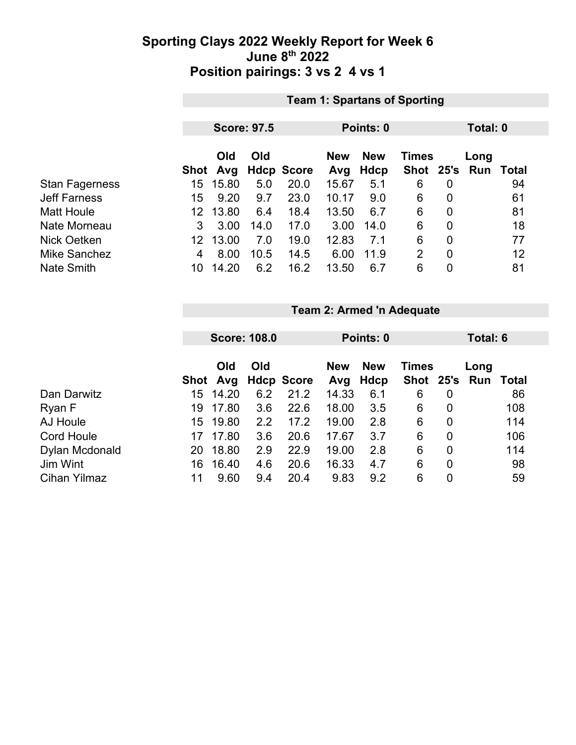### **Sporting Clays 2022 Weekly Report for Week 6 June 8th 2022 Position pairings: 3 vs 2 4 vs 1**

|                       | <b>Team 1: Spartans of Sporting</b> |                    |      |                   |            |           |                |                |     |       |  |  |
|-----------------------|-------------------------------------|--------------------|------|-------------------|------------|-----------|----------------|----------------|-----|-------|--|--|
|                       |                                     |                    |      |                   |            |           |                |                |     |       |  |  |
|                       |                                     | <b>Score: 97.5</b> |      |                   |            | Points: 0 |                | Total: 0       |     |       |  |  |
|                       | Old<br>Old                          |                    |      | <b>New</b>        | <b>New</b> | Times     |                | Long           |     |       |  |  |
|                       | Shot                                | Avg                |      | <b>Hdcp Score</b> | Avg        | Hdcp      | Shot 25's      |                | Run | Total |  |  |
| <b>Stan Fagerness</b> | 15                                  | 15.80              | 5.0  | 20.0              | 15.67      | 5.1       | 6              | 0              |     | 94    |  |  |
| <b>Jeff Farness</b>   | 15                                  | 9.20               | 9.7  | 23.0              | 10.17      | 9.0       | 6              | $\mathbf 0$    |     | 61    |  |  |
| <b>Matt Houle</b>     | 12                                  | 13.80              | 6.4  | 18.4              | 13.50      | 6.7       | 6              | $\mathbf 0$    |     | 81    |  |  |
| Nate Morneau          | 3                                   | 3.00               | 14.0 | 17.0              | 3.00       | 14.0      | 6              | 0              |     | 18    |  |  |
| Nick Oetken           | 12                                  | 13.00              | 7.0  | 19.0              | 12.83      | 7.1       | 6              | 0              |     | 77    |  |  |
| <b>Mike Sanchez</b>   | 4                                   | 8.00               | 10.5 | 14.5              | 6.00       | 11.9      | $\overline{2}$ | $\overline{0}$ |     | 12    |  |  |
| <b>Nate Smith</b>     | 10                                  | 14.20              | 6.2  | 16.2              | 13.50      | 6.7       | 6              | 0              |     | 81    |  |  |

|                   |      | <b>Score: 108.0</b> |     |                   |            | Points: 0  |              |                | Total: 6      |       |  |
|-------------------|------|---------------------|-----|-------------------|------------|------------|--------------|----------------|---------------|-------|--|
|                   |      |                     |     |                   |            |            |              |                |               |       |  |
|                   |      | Old                 | Old |                   | <b>New</b> | <b>New</b> | <b>Times</b> |                | Long          |       |  |
|                   | Shot | Avg                 |     | <b>Hdcp Score</b> | Avg        | Hdcp       |              |                | Shot 25's Run | Total |  |
| Dan Darwitz       | 15   | 14.20               | 6.2 | 21.2              | 14.33      | 6.1        | 6            | 0              |               | 86    |  |
| Ryan F            | 19   | 17.80               | 3.6 | 22.6              | 18.00      | 3.5        | 6            | 0              |               | 108   |  |
| AJ Houle          | 15   | 19.80               | 2.2 | 17.2              | 19.00      | 2.8        | 6            | 0              |               | 114   |  |
| <b>Cord Houle</b> | 17   | 17.80               | 3.6 | 20.6              | 17.67      | 3.7        | 6            | $\overline{0}$ |               | 106   |  |
| Dylan Mcdonald    | 20   | 18.80               | 2.9 | 22.9              | 19.00      | 2.8        | 6            | $\overline{0}$ |               | 114   |  |
| Jim Wint          | 16   | 16.40               | 4.6 | 20.6              | 16.33      | 4.7        | 6            | $\overline{0}$ |               | 98    |  |
| Cihan Yilmaz      | 11   | 9.60                | 9.4 | 20.4              | 9.83       | 9.2        | 6            | $\overline{0}$ |               | 59    |  |

**Team 2: Armed 'n Adequate**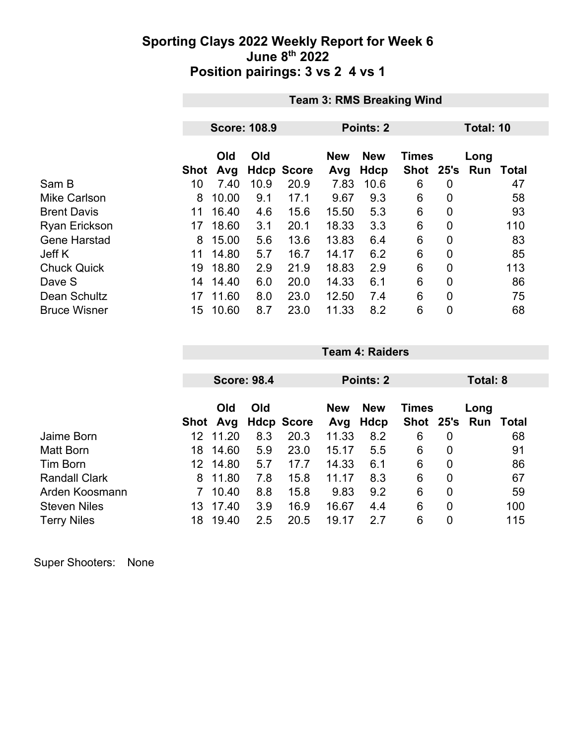### **Sporting Clays 2022 Weekly Report for Week 6 June 8th 2022 Position pairings: 3 vs 2 4 vs 1**

|                      | <b>Team 3: RMS Breaking Wind</b> |                     |      |                   |                   |                    |                           |                |             |              |
|----------------------|----------------------------------|---------------------|------|-------------------|-------------------|--------------------|---------------------------|----------------|-------------|--------------|
|                      |                                  | <b>Score: 108.9</b> |      |                   |                   | Points: 2          | Total: 10                 |                |             |              |
|                      |                                  |                     |      |                   |                   |                    |                           |                |             |              |
|                      | Shot                             | Old<br>Avg          | Old  | <b>Hdcp Score</b> | <b>New</b><br>Avg | <b>New</b><br>Hdcp | <b>Times</b><br>Shot 25's |                | Long<br>Run | <b>Total</b> |
| Sam B                | 10                               | 7.40                | 10.9 | 20.9              | 7.83              | 10.6               | 6                         | 0              |             | 47           |
| <b>Mike Carlson</b>  | 8                                | 10.00               | 9.1  | 17.1              | 9.67              | 9.3                | 6                         | 0              |             | 58           |
| <b>Brent Davis</b>   | 11                               | 16.40               | 4.6  | 15.6              | 15.50             | 5.3                | 6                         | 0              |             | 93           |
| <b>Ryan Erickson</b> | 17                               | 18.60               | 3.1  | 20.1              | 18.33             | 3.3                | $6\phantom{1}6$           | 0              |             | 110          |
| <b>Gene Harstad</b>  | 8                                | 15.00               | 5.6  | 13.6              | 13.83             | 6.4                | 6                         | $\overline{0}$ |             | 83           |
| Jeff K               | 11                               | 14.80               | 5.7  | 16.7              | 14.17             | 6.2                | 6                         | 0              |             | 85           |
| <b>Chuck Quick</b>   | 19                               | 18.80               | 2.9  | 21.9              | 18.83             | 2.9                | 6                         | $\overline{0}$ |             | 113          |
| Dave S               | 14                               | 14.40               | 6.0  | 20.0              | 14.33             | 6.1                | 6                         | $\overline{0}$ |             | 86           |
| Dean Schultz         | 17                               | 11.60               | 8.0  | 23.0              | 12.50             | 7.4                | 6                         | $\overline{0}$ |             | 75           |
| <b>Bruce Wisner</b>  | 15                               | 10.60               | 8.7  | 23.0              | 11.33             | 8.2                | 6                         | $\overline{0}$ |             | 68           |

|                      |      | <b>Score: 98.4</b> |     |                   |            | Points: 2  |              |                | Total: 8            |     |
|----------------------|------|--------------------|-----|-------------------|------------|------------|--------------|----------------|---------------------|-----|
|                      |      |                    |     |                   |            |            |              |                |                     |     |
|                      |      | Old                | Old |                   | <b>New</b> | <b>New</b> | <b>Times</b> |                | Long                |     |
|                      | Shot | Avg                |     | <b>Hdcp Score</b> | Avg        | Hdcp       |              |                | Shot 25's Run Total |     |
| Jaime Born           | 12.  | 11.20              | 8.3 | 20.3              | 11.33      | 8.2        | 6            | 0              |                     | 68  |
| Matt Born            | 18   | 14.60              | 5.9 | 23.0              | 15.17      | 5.5        | 6            | 0              |                     | 91  |
| Tim Born             | 12.  | 14.80              | 5.7 | 17.7              | 14.33      | 6.1        | 6            | $\mathbf 0$    |                     | 86  |
| <b>Randall Clark</b> | 8    | 11.80              | 7.8 | 15.8              | 11.17      | 8.3        | 6            | $\overline{0}$ |                     | 67  |
| Arden Koosmann       |      | 10.40              | 8.8 | 15.8              | 9.83       | 9.2        | 6            | $\overline{0}$ |                     | 59  |
| <b>Steven Niles</b>  | 13.  | 17.40              | 3.9 | 16.9              | 16.67      | 4.4        | 6            | $\overline{0}$ |                     | 100 |
| <b>Terry Niles</b>   | 18   | 19.40              | 2.5 | 20.5              | 19.17      | 2.7        | 6            | 0              |                     | 115 |

**Team 4: Raiders**

Super Shooters: None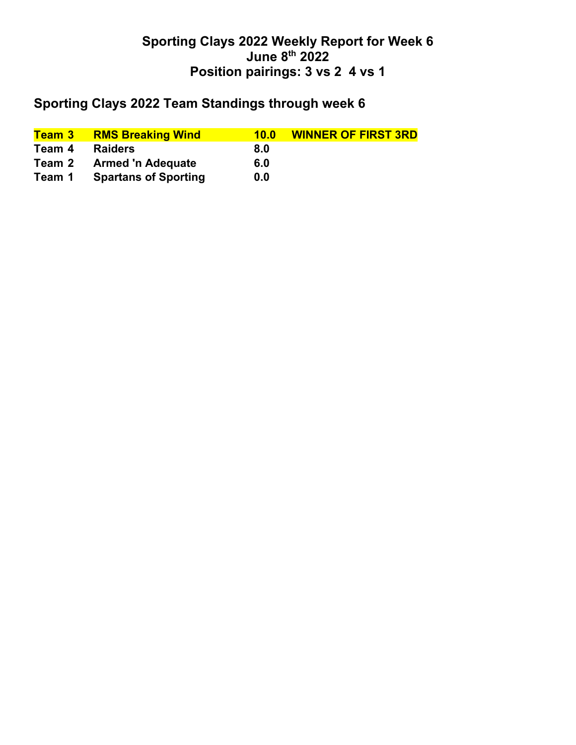## **Sporting Clays 2022 Weekly Report for Week 6 June 8th 2022 Position pairings: 3 vs 2 4 vs 1**

## **Sporting Clays 2022 Team Standings through week 6**

| <mark>Team 3 </mark> | <b>RMS Breaking Wind</b>    | 10.0 | <b>WINNER OF FIRST 3RD</b> |
|----------------------|-----------------------------|------|----------------------------|
| Team 4               | <b>Raiders</b>              | 8.0  |                            |
| Team 2               | <b>Armed 'n Adequate</b>    | 6.0  |                            |
| Team 1               | <b>Spartans of Sporting</b> | 0.0  |                            |